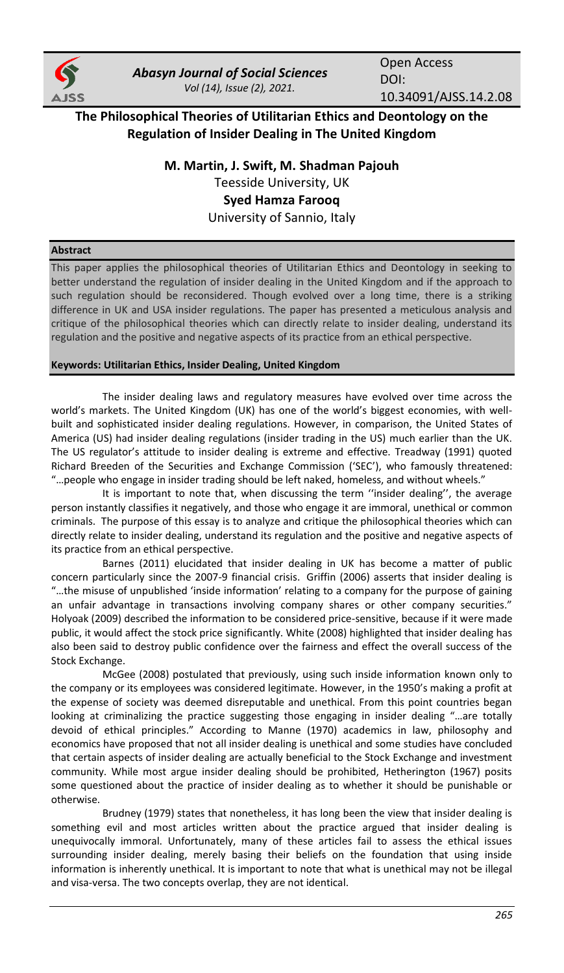

*Abasyn Journal of Social Sciences Vol (14), Issue (2), 2021.*

Open Access DOI: 10.34091/AJSS.14.2.08

**The Philosophical Theories of Utilitarian Ethics and Deontology on the Regulation of Insider Dealing in The United Kingdom**

> **M. Martin, J. Swift, M. Shadman Pajouh** Teesside University, UK **Syed Hamza Farooq** University of Sannio, Italy

## **Abstract**

This paper applies the philosophical theories of Utilitarian Ethics and Deontology in seeking to better understand the regulation of insider dealing in the United Kingdom and if the approach to such regulation should be reconsidered. Though evolved over a long time, there is a striking difference in UK and USA insider regulations. The paper has presented a meticulous analysis and critique of the philosophical theories which can directly relate to insider dealing, understand its regulation and the positive and negative aspects of its practice from an ethical perspective.

## **Keywords: Utilitarian Ethics, Insider Dealing, United Kingdom**

The insider dealing laws and regulatory measures have evolved over time across the world's markets. The United Kingdom (UK) has one of the world's biggest economies, with wellbuilt and sophisticated insider dealing regulations. However, in comparison, the United States of America (US) had insider dealing regulations (insider trading in the US) much earlier than the UK. The US regulator's attitude to insider dealing is extreme and effective. Treadway (1991) quoted Richard Breeden of the Securities and Exchange Commission ('SEC'), who famously threatened: "…people who engage in insider trading should be left naked, homeless, and without wheels."

It is important to note that, when discussing the term ''insider dealing'', the average person instantly classifies it negatively, and those who engage it are immoral, unethical or common criminals. The purpose of this essay is to analyze and critique the philosophical theories which can directly relate to insider dealing, understand its regulation and the positive and negative aspects of its practice from an ethical perspective.

Barnes (2011) elucidated that insider dealing in UK has become a matter of public concern particularly since the 2007-9 financial crisis. Griffin (2006) asserts that insider dealing is "…the misuse of unpublished 'inside information' relating to a company for the purpose of gaining an unfair advantage in transactions involving company shares or other company securities." Holyoak (2009) described the information to be considered price-sensitive, because if it were made public, it would affect the stock price significantly. White (2008) highlighted that insider dealing has also been said to destroy public confidence over the fairness and effect the overall success of the Stock Exchange.

McGee (2008) postulated that previously, using such inside information known only to the company or its employees was considered legitimate. However, in the 1950's making a profit at the expense of society was deemed disreputable and unethical. From this point countries began looking at criminalizing the practice suggesting those engaging in insider dealing "…are totally devoid of ethical principles." According to Manne (1970) academics in law, philosophy and economics have proposed that not all insider dealing is unethical and some studies have concluded that certain aspects of insider dealing are actually beneficial to the Stock Exchange and investment community. While most argue insider dealing should be prohibited, Hetherington (1967) posits some questioned about the practice of insider dealing as to whether it should be punishable or otherwise.

Brudney (1979) states that nonetheless, it has long been the view that insider dealing is something evil and most articles written about the practice argued that insider dealing is unequivocally immoral. Unfortunately, many of these articles fail to assess the ethical issues surrounding insider dealing, merely basing their beliefs on the foundation that using inside information is inherently unethical. It is important to note that what is unethical may not be illegal and visa-versa. The two concepts overlap, they are not identical.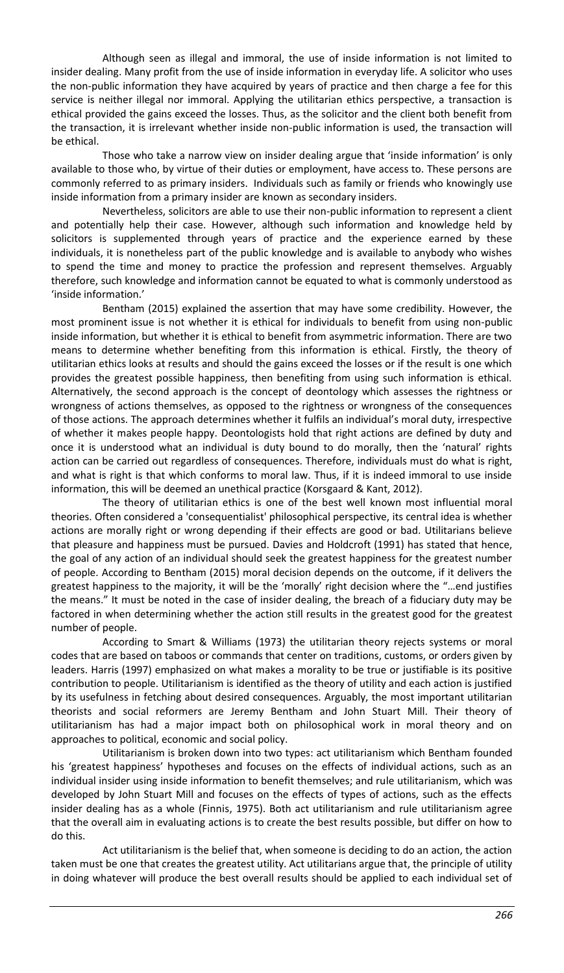Although seen as illegal and immoral, the use of inside information is not limited to insider dealing. Many profit from the use of inside information in everyday life. A solicitor who uses the non-public information they have acquired by years of practice and then charge a fee for this service is neither illegal nor immoral. Applying the utilitarian ethics perspective, a transaction is ethical provided the gains exceed the losses. Thus, as the solicitor and the client both benefit from the transaction, it is irrelevant whether inside non-public information is used, the transaction will be ethical.

Those who take a narrow view on insider dealing argue that 'inside information' is only available to those who, by virtue of their duties or employment, have access to. These persons are commonly referred to as primary insiders. Individuals such as family or friends who knowingly use inside information from a primary insider are known as secondary insiders.

Nevertheless, solicitors are able to use their non-public information to represent a client and potentially help their case. However, although such information and knowledge held by solicitors is supplemented through years of practice and the experience earned by these individuals, it is nonetheless part of the public knowledge and is available to anybody who wishes to spend the time and money to practice the profession and represent themselves. Arguably therefore, such knowledge and information cannot be equated to what is commonly understood as 'inside information.'

Bentham (2015) explained the assertion that may have some credibility. However, the most prominent issue is not whether it is ethical for individuals to benefit from using non-public inside information, but whether it is ethical to benefit from asymmetric information. There are two means to determine whether benefiting from this information is ethical. Firstly, the theory of utilitarian ethics looks at results and should the gains exceed the losses or if the result is one which provides the greatest possible happiness, then benefiting from using such information is ethical. Alternatively, the second approach is the concept of deontology which assesses the rightness or wrongness of actions themselves, as opposed to the rightness or wrongness of the consequences of those actions. The approach determines whether it fulfils an individual's moral duty, irrespective of whether it makes people happy. Deontologists hold that right actions are defined by duty and once it is understood what an individual is duty bound to do morally, then the 'natural' rights action can be carried out regardless of consequences. Therefore, individuals must do what is right, and what is right is that which conforms to moral law. Thus, if it is indeed immoral to use inside information, this will be deemed an unethical practice (Korsgaard & Kant, 2012).

The theory of utilitarian ethics is one of the best well known most influential moral theories. Often considered a 'consequentialist' philosophical perspective, its central idea is whether actions are morally right or wrong depending if their effects are good or bad. Utilitarians believe that pleasure and happiness must be pursued. Davies and Holdcroft (1991) has stated that hence, the goal of any action of an individual should seek the greatest happiness for the greatest number of people. According to Bentham (2015) moral decision depends on the outcome, if it delivers the greatest happiness to the majority, it will be the 'morally' right decision where the "…end justifies the means." It must be noted in the case of insider dealing, the breach of a fiduciary duty may be factored in when determining whether the action still results in the greatest good for the greatest number of people.

According to Smart & Williams (1973) the utilitarian theory rejects systems or moral codes that are based on taboos or commands that center on traditions, customs, or orders given by leaders. Harris (1997) emphasized on what makes a morality to be true or justifiable is its positive contribution to people. Utilitarianism is identified as the theory of utility and each action is justified by its usefulness in fetching about desired consequences. Arguably, the most important utilitarian theorists and social reformers are Jeremy Bentham and John Stuart Mill. Their theory of utilitarianism has had a major impact both on philosophical work in moral theory and on approaches to political, economic and social policy.

Utilitarianism is broken down into two types: act utilitarianism which Bentham founded his 'greatest happiness' hypotheses and focuses on the effects of individual actions, such as an individual insider using inside information to benefit themselves; and rule utilitarianism, which was developed by John Stuart Mill and focuses on the effects of types of actions, such as the effects insider dealing has as a whole (Finnis, 1975). Both act utilitarianism and rule utilitarianism agree that the overall aim in evaluating actions is to create the best results possible, but differ on how to do this.

Act utilitarianism is the belief that, when someone is deciding to do an action, the action taken must be one that creates the greatest utility. Act utilitarians argue that, the principle of utility in doing whatever will produce the best overall results should be applied to each individual set of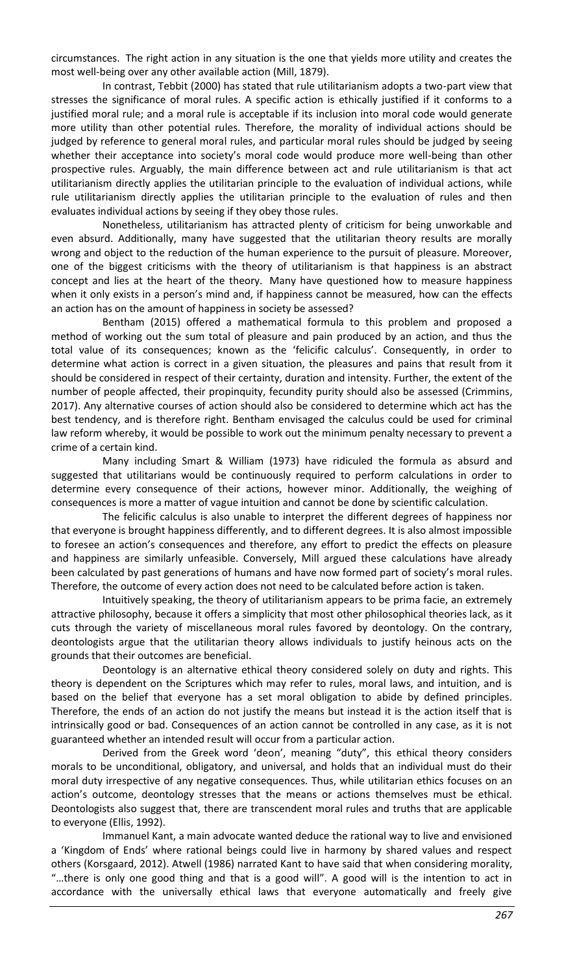circumstances. The right action in any situation is the one that yields more utility and creates the most well-being over any other available action (Mill, 1879).

In contrast, Tebbit (2000) has stated that rule utilitarianism adopts a two-part view that stresses the significance of moral rules. A specific action is ethically justified if it conforms to a justified moral rule; and a moral rule is acceptable if its inclusion into moral code would generate more utility than other potential rules. Therefore, the morality of individual actions should be judged by reference to general moral rules, and particular moral rules should be judged by seeing whether their acceptance into society's moral code would produce more well-being than other prospective rules. Arguably, the main difference between act and rule utilitarianism is that act utilitarianism directly applies the utilitarian principle to the evaluation of individual actions, while rule utilitarianism directly applies the utilitarian principle to the evaluation of rules and then evaluates individual actions by seeing if they obey those rules.

Nonetheless, utilitarianism has attracted plenty of criticism for being unworkable and even absurd. Additionally, many have suggested that the utilitarian theory results are morally wrong and object to the reduction of the human experience to the pursuit of pleasure. Moreover, one of the biggest criticisms with the theory of utilitarianism is that happiness is an abstract concept and lies at the heart of the theory. Many have questioned how to measure happiness when it only exists in a person's mind and, if happiness cannot be measured, how can the effects an action has on the amount of happiness in society be assessed?

Bentham (2015) offered a mathematical formula to this problem and proposed a method of working out the sum total of pleasure and pain produced by an action, and thus the total value of its consequences; known as the 'felicific calculus'. Consequently, in order to determine what action is correct in a given situation, the pleasures and pains that result from it should be considered in respect of their certainty, duration and intensity. Further, the extent of the number of people affected, their propinquity, fecundity purity should also be assessed (Crimmins, 2017). Any alternative courses of action should also be considered to determine which act has the best tendency, and is therefore right. Bentham envisaged the calculus could be used for criminal law reform whereby, it would be possible to work out the minimum penalty necessary to prevent a crime of a certain kind.

Many including Smart & William (1973) have ridiculed the formula as absurd and suggested that utilitarians would be continuously required to perform calculations in order to determine every consequence of their actions, however minor. Additionally, the weighing of consequences is more a matter of vague intuition and cannot be done by scientific calculation.

The felicific calculus is also unable to interpret the different degrees of happiness nor that everyone is brought happiness differently, and to different degrees. It is also almost impossible to foresee an action's consequences and therefore, any effort to predict the effects on pleasure and happiness are similarly unfeasible. Conversely, Mill argued these calculations have already been calculated by past generations of humans and have now formed part of society's moral rules. Therefore, the outcome of every action does not need to be calculated before action is taken.

Intuitively speaking, the theory of utilitarianism appears to be prima facie, an extremely attractive philosophy, because it offers a simplicity that most other philosophical theories lack, as it cuts through the variety of miscellaneous moral rules favored by deontology. On the contrary, deontologists argue that the utilitarian theory allows individuals to justify heinous acts on the grounds that their outcomes are beneficial.

Deontology is an alternative ethical theory considered solely on duty and rights. This theory is dependent on the Scriptures which may refer to rules, moral laws, and intuition, and is based on the belief that everyone has a set moral obligation to abide by defined principles. Therefore, the ends of an action do not justify the means but instead it is the action itself that is intrinsically good or bad. Consequences of an action cannot be controlled in any case, as it is not guaranteed whether an intended result will occur from a particular action.

Derived from the Greek word 'deon', meaning "duty", this ethical theory considers morals to be unconditional, obligatory, and universal, and holds that an individual must do their moral duty irrespective of any negative consequences. Thus, while utilitarian ethics focuses on an action's outcome, deontology stresses that the means or actions themselves must be ethical. Deontologists also suggest that, there are transcendent moral rules and truths that are applicable to everyone (Ellis, 1992).

Immanuel Kant, a main advocate wanted deduce the rational way to live and envisioned a 'Kingdom of Ends' where rational beings could live in harmony by shared values and respect others (Korsgaard, 2012). Atwell (1986) narrated Kant to have said that when considering morality, "…there is only one good thing and that is a good will". A good will is the intention to act in accordance with the universally ethical laws that everyone automatically and freely give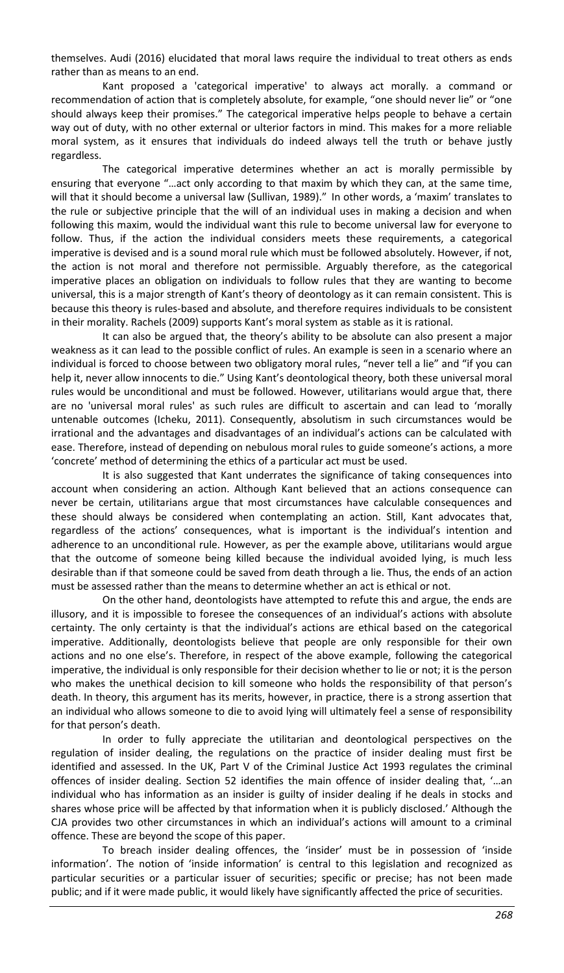themselves. Audi (2016) elucidated that moral laws require the individual to treat others as ends rather than as means to an end.

Kant proposed a 'categorical imperative' to always act morally. a command or recommendation of action that is completely absolute, for example, "one should never lie" or "one should always keep their promises." The categorical imperative helps people to behave a certain way out of duty, with no other external or ulterior factors in mind. This makes for a more reliable moral system, as it ensures that individuals do indeed always tell the truth or behave justly regardless.

The categorical imperative determines whether an act is morally permissible by ensuring that everyone "…act only according to that maxim by which they can, at the same time, will that it should become a universal law (Sullivan, 1989)." In other words, a 'maxim' translates to the rule or subjective principle that the will of an individual uses in making a decision and when following this maxim, would the individual want this rule to become universal law for everyone to follow. Thus, if the action the individual considers meets these requirements, a categorical imperative is devised and is a sound moral rule which must be followed absolutely. However, if not, the action is not moral and therefore not permissible. Arguably therefore, as the categorical imperative places an obligation on individuals to follow rules that they are wanting to become universal, this is a major strength of Kant's theory of deontology as it can remain consistent. This is because this theory is rules-based and absolute, and therefore requires individuals to be consistent in their morality. Rachels (2009) supports Kant's moral system as stable as it is rational.

It can also be argued that, the theory's ability to be absolute can also present a major weakness as it can lead to the possible conflict of rules. An example is seen in a scenario where an individual is forced to choose between two obligatory moral rules, "never tell a lie" and "if you can help it, never allow innocents to die." Using Kant's deontological theory, both these universal moral rules would be unconditional and must be followed. However, utilitarians would argue that, there are no 'universal moral rules' as such rules are difficult to ascertain and can lead to 'morally untenable outcomes (Icheku, 2011). Consequently, absolutism in such circumstances would be irrational and the advantages and disadvantages of an individual's actions can be calculated with ease. Therefore, instead of depending on nebulous moral rules to guide someone's actions, a more 'concrete' method of determining the ethics of a particular act must be used.

It is also suggested that Kant underrates the significance of taking consequences into account when considering an action. Although Kant believed that an actions consequence can never be certain, utilitarians argue that most circumstances have calculable consequences and these should always be considered when contemplating an action. Still, Kant advocates that, regardless of the actions' consequences, what is important is the individual's intention and adherence to an unconditional rule. However, as per the example above, utilitarians would argue that the outcome of someone being killed because the individual avoided lying, is much less desirable than if that someone could be saved from death through a lie. Thus, the ends of an action must be assessed rather than the means to determine whether an act is ethical or not.

On the other hand, deontologists have attempted to refute this and argue, the ends are illusory, and it is impossible to foresee the consequences of an individual's actions with absolute certainty. The only certainty is that the individual's actions are ethical based on the categorical imperative. Additionally, deontologists believe that people are only responsible for their own actions and no one else's. Therefore, in respect of the above example, following the categorical imperative, the individual is only responsible for their decision whether to lie or not; it is the person who makes the unethical decision to kill someone who holds the responsibility of that person's death. In theory, this argument has its merits, however, in practice, there is a strong assertion that an individual who allows someone to die to avoid lying will ultimately feel a sense of responsibility for that person's death.

In order to fully appreciate the utilitarian and deontological perspectives on the regulation of insider dealing, the regulations on the practice of insider dealing must first be identified and assessed. In the UK, Part V of the Criminal Justice Act 1993 regulates the criminal offences of insider dealing. Section 52 identifies the main offence of insider dealing that, '…an individual who has information as an insider is guilty of insider dealing if he deals in stocks and shares whose price will be affected by that information when it is publicly disclosed.' Although the CJA provides two other circumstances in which an individual's actions will amount to a criminal offence. These are beyond the scope of this paper.

To breach insider dealing offences, the 'insider' must be in possession of 'inside information'. The notion of 'inside information' is central to this legislation and recognized as particular securities or a particular issuer of securities; specific or precise; has not been made public; and if it were made public, it would likely have significantly affected the price of securities.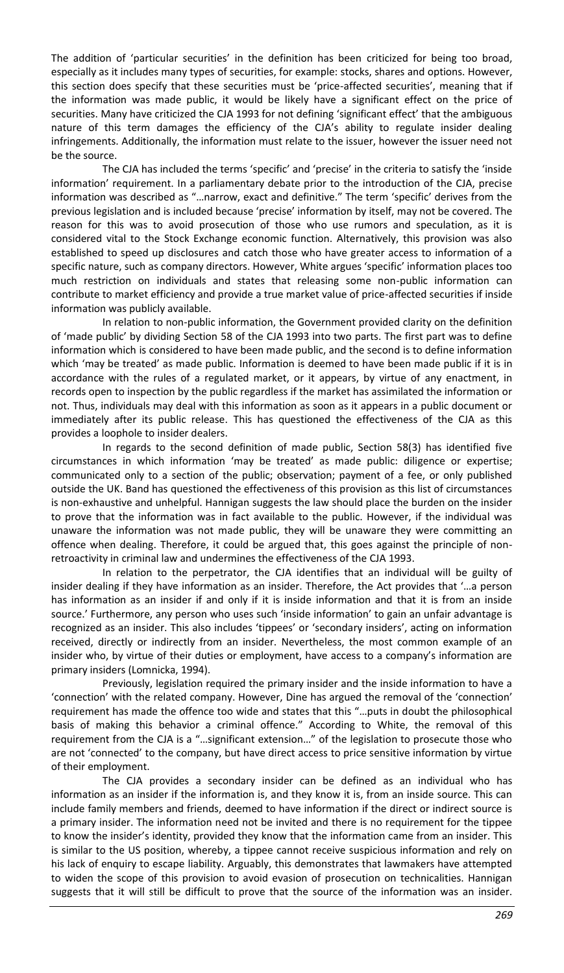The addition of 'particular securities' in the definition has been criticized for being too broad, especially as it includes many types of securities, for example: stocks, shares and options. However, this section does specify that these securities must be 'price-affected securities', meaning that if the information was made public, it would be likely have a significant effect on the price of securities. Many have criticized the CJA 1993 for not defining 'significant effect' that the ambiguous nature of this term damages the efficiency of the CJA's ability to regulate insider dealing infringements. Additionally, the information must relate to the issuer, however the issuer need not be the source.

The CJA has included the terms 'specific' and 'precise' in the criteria to satisfy the 'inside information' requirement. In a parliamentary debate prior to the introduction of the CJA, precise information was described as "…narrow, exact and definitive." The term 'specific' derives from the previous legislation and is included because 'precise' information by itself, may not be covered. The reason for this was to avoid prosecution of those who use rumors and speculation, as it is considered vital to the Stock Exchange economic function. Alternatively, this provision was also established to speed up disclosures and catch those who have greater access to information of a specific nature, such as company directors. However, White argues 'specific' information places too much restriction on individuals and states that releasing some non-public information can contribute to market efficiency and provide a true market value of price-affected securities if inside information was publicly available.

In relation to non-public information, the Government provided clarity on the definition of 'made public' by dividing Section 58 of the CJA 1993 into two parts. The first part was to define information which is considered to have been made public, and the second is to define information which 'may be treated' as made public. Information is deemed to have been made public if it is in accordance with the rules of a regulated market, or it appears, by virtue of any enactment, in records open to inspection by the public regardless if the market has assimilated the information or not. Thus, individuals may deal with this information as soon as it appears in a public document or immediately after its public release. This has questioned the effectiveness of the CJA as this provides a loophole to insider dealers.

In regards to the second definition of made public, Section 58(3) has identified five circumstances in which information 'may be treated' as made public: diligence or expertise; communicated only to a section of the public; observation; payment of a fee, or only published outside the UK. Band has questioned the effectiveness of this provision as this list of circumstances is non-exhaustive and unhelpful. Hannigan suggests the law should place the burden on the insider to prove that the information was in fact available to the public. However, if the individual was unaware the information was not made public, they will be unaware they were committing an offence when dealing. Therefore, it could be argued that, this goes against the principle of nonretroactivity in criminal law and undermines the effectiveness of the CJA 1993.

In relation to the perpetrator, the CJA identifies that an individual will be guilty of insider dealing if they have information as an insider. Therefore, the Act provides that '…a person has information as an insider if and only if it is inside information and that it is from an inside source.' Furthermore, any person who uses such 'inside information' to gain an unfair advantage is recognized as an insider. This also includes 'tippees' or 'secondary insiders', acting on information received, directly or indirectly from an insider. Nevertheless, the most common example of an insider who, by virtue of their duties or employment, have access to a company's information are primary insiders (Lomnicka, 1994).

Previously, legislation required the primary insider and the inside information to have a 'connection' with the related company. However, Dine has argued the removal of the 'connection' requirement has made the offence too wide and states that this "…puts in doubt the philosophical basis of making this behavior a criminal offence." According to White, the removal of this requirement from the CJA is a "…significant extension…" of the legislation to prosecute those who are not 'connected' to the company, but have direct access to price sensitive information by virtue of their employment.

The CJA provides a secondary insider can be defined as an individual who has information as an insider if the information is, and they know it is, from an inside source. This can include family members and friends, deemed to have information if the direct or indirect source is a primary insider. The information need not be invited and there is no requirement for the tippee to know the insider's identity, provided they know that the information came from an insider. This is similar to the US position, whereby, a tippee cannot receive suspicious information and rely on his lack of enquiry to escape liability. Arguably, this demonstrates that lawmakers have attempted to widen the scope of this provision to avoid evasion of prosecution on technicalities. Hannigan suggests that it will still be difficult to prove that the source of the information was an insider.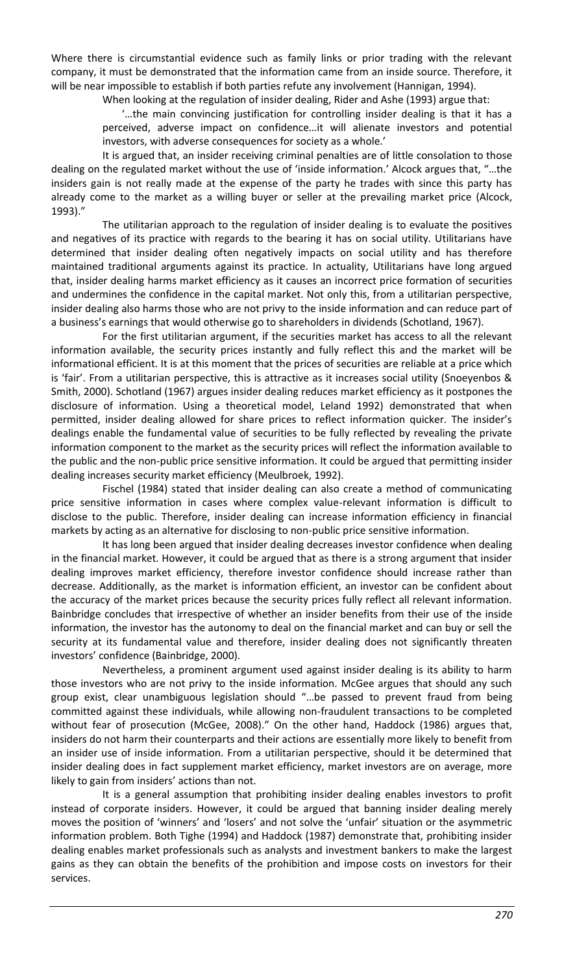Where there is circumstantial evidence such as family links or prior trading with the relevant company, it must be demonstrated that the information came from an inside source. Therefore, it will be near impossible to establish if both parties refute any involvement (Hannigan, 1994).

When looking at the regulation of insider dealing, Rider and Ashe (1993) argue that:

'…the main convincing justification for controlling insider dealing is that it has a perceived, adverse impact on confidence…it will alienate investors and potential investors, with adverse consequences for society as a whole.'

It is argued that, an insider receiving criminal penalties are of little consolation to those dealing on the regulated market without the use of 'inside information.' Alcock argues that, "…the insiders gain is not really made at the expense of the party he trades with since this party has already come to the market as a willing buyer or seller at the prevailing market price (Alcock, 1993)."

The utilitarian approach to the regulation of insider dealing is to evaluate the positives and negatives of its practice with regards to the bearing it has on social utility. Utilitarians have determined that insider dealing often negatively impacts on social utility and has therefore maintained traditional arguments against its practice. In actuality, Utilitarians have long argued that, insider dealing harms market efficiency as it causes an incorrect price formation of securities and undermines the confidence in the capital market. Not only this, from a utilitarian perspective, insider dealing also harms those who are not privy to the inside information and can reduce part of a business's earnings that would otherwise go to shareholders in dividends (Schotland, 1967).

For the first utilitarian argument, if the securities market has access to all the relevant information available, the security prices instantly and fully reflect this and the market will be informational efficient. It is at this moment that the prices of securities are reliable at a price which is 'fair'. From a utilitarian perspective, this is attractive as it increases social utility (Snoeyenbos & Smith, 2000). Schotland (1967) argues insider dealing reduces market efficiency as it postpones the disclosure of information. Using a theoretical model, Leland 1992) demonstrated that when permitted, insider dealing allowed for share prices to reflect information quicker. The insider's dealings enable the fundamental value of securities to be fully reflected by revealing the private information component to the market as the security prices will reflect the information available to the public and the non-public price sensitive information. It could be argued that permitting insider dealing increases security market efficiency (Meulbroek, 1992).

Fischel (1984) stated that insider dealing can also create a method of communicating price sensitive information in cases where complex value-relevant information is difficult to disclose to the public. Therefore, insider dealing can increase information efficiency in financial markets by acting as an alternative for disclosing to non-public price sensitive information.

It has long been argued that insider dealing decreases investor confidence when dealing in the financial market. However, it could be argued that as there is a strong argument that insider dealing improves market efficiency, therefore investor confidence should increase rather than decrease. Additionally, as the market is information efficient, an investor can be confident about the accuracy of the market prices because the security prices fully reflect all relevant information. Bainbridge concludes that irrespective of whether an insider benefits from their use of the inside information, the investor has the autonomy to deal on the financial market and can buy or sell the security at its fundamental value and therefore, insider dealing does not significantly threaten investors' confidence (Bainbridge, 2000).

Nevertheless, a prominent argument used against insider dealing is its ability to harm those investors who are not privy to the inside information. McGee argues that should any such group exist, clear unambiguous legislation should "…be passed to prevent fraud from being committed against these individuals, while allowing non-fraudulent transactions to be completed without fear of prosecution (McGee, 2008)." On the other hand, Haddock (1986) argues that, insiders do not harm their counterparts and their actions are essentially more likely to benefit from an insider use of inside information. From a utilitarian perspective, should it be determined that insider dealing does in fact supplement market efficiency, market investors are on average, more likely to gain from insiders' actions than not.

It is a general assumption that prohibiting insider dealing enables investors to profit instead of corporate insiders. However, it could be argued that banning insider dealing merely moves the position of 'winners' and 'losers' and not solve the 'unfair' situation or the asymmetric information problem. Both Tighe (1994) and Haddock (1987) demonstrate that, prohibiting insider dealing enables market professionals such as analysts and investment bankers to make the largest gains as they can obtain the benefits of the prohibition and impose costs on investors for their services.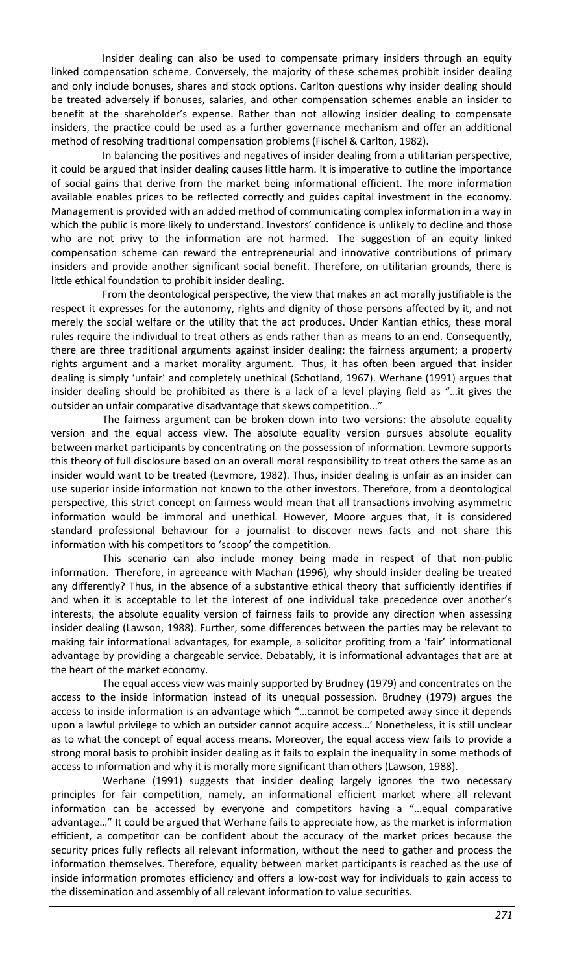Insider dealing can also be used to compensate primary insiders through an equity linked compensation scheme. Conversely, the majority of these schemes prohibit insider dealing and only include bonuses, shares and stock options. Carlton questions why insider dealing should be treated adversely if bonuses, salaries, and other compensation schemes enable an insider to benefit at the shareholder's expense. Rather than not allowing insider dealing to compensate insiders, the practice could be used as a further governance mechanism and offer an additional method of resolving traditional compensation problems (Fischel & Carlton, 1982).

In balancing the positives and negatives of insider dealing from a utilitarian perspective, it could be argued that insider dealing causes little harm. It is imperative to outline the importance of social gains that derive from the market being informational efficient. The more information available enables prices to be reflected correctly and guides capital investment in the economy. Management is provided with an added method of communicating complex information in a way in which the public is more likely to understand. Investors' confidence is unlikely to decline and those who are not privy to the information are not harmed. The suggestion of an equity linked compensation scheme can reward the entrepreneurial and innovative contributions of primary insiders and provide another significant social benefit. Therefore, on utilitarian grounds, there is little ethical foundation to prohibit insider dealing.

From the deontological perspective, the view that makes an act morally justifiable is the respect it expresses for the autonomy, rights and dignity of those persons affected by it, and not merely the social welfare or the utility that the act produces. Under Kantian ethics, these moral rules require the individual to treat others as ends rather than as means to an end. Consequently, there are three traditional arguments against insider dealing: the fairness argument; a property rights argument and a market morality argument. Thus, it has often been argued that insider dealing is simply 'unfair' and completely unethical (Schotland, 1967). Werhane (1991) argues that insider dealing should be prohibited as there is a lack of a level playing field as "…it gives the outsider an unfair comparative disadvantage that skews competition..."

The fairness argument can be broken down into two versions: the absolute equality version and the equal access view. The absolute equality version pursues absolute equality between market participants by concentrating on the possession of information. Levmore supports this theory of full disclosure based on an overall moral responsibility to treat others the same as an insider would want to be treated (Levmore, 1982). Thus, insider dealing is unfair as an insider can use superior inside information not known to the other investors. Therefore, from a deontological perspective, this strict concept on fairness would mean that all transactions involving asymmetric information would be immoral and unethical. However, Moore argues that, it is considered standard professional behaviour for a journalist to discover news facts and not share this information with his competitors to 'scoop' the competition.

This scenario can also include money being made in respect of that non-public information. Therefore, in agreeance with Machan (1996), why should insider dealing be treated any differently? Thus, in the absence of a substantive ethical theory that sufficiently identifies if and when it is acceptable to let the interest of one individual take precedence over another's interests, the absolute equality version of fairness fails to provide any direction when assessing insider dealing (Lawson, 1988). Further, some differences between the parties may be relevant to making fair informational advantages, for example, a solicitor profiting from a 'fair' informational advantage by providing a chargeable service. Debatably, it is informational advantages that are at the heart of the market economy.

The equal access view was mainly supported by Brudney (1979) and concentrates on the access to the inside information instead of its unequal possession. Brudney (1979) argues the access to inside information is an advantage which "…cannot be competed away since it depends upon a lawful privilege to which an outsider cannot acquire access…' Nonetheless, it is still unclear as to what the concept of equal access means. Moreover, the equal access view fails to provide a strong moral basis to prohibit insider dealing as it fails to explain the inequality in some methods of access to information and why it is morally more significant than others (Lawson, 1988).

Werhane (1991) suggests that insider dealing largely ignores the two necessary principles for fair competition, namely, an informational efficient market where all relevant information can be accessed by everyone and competitors having a "…equal comparative advantage…" It could be argued that Werhane fails to appreciate how, as the market is information efficient, a competitor can be confident about the accuracy of the market prices because the security prices fully reflects all relevant information, without the need to gather and process the information themselves. Therefore, equality between market participants is reached as the use of inside information promotes efficiency and offers a low-cost way for individuals to gain access to the dissemination and assembly of all relevant information to value securities.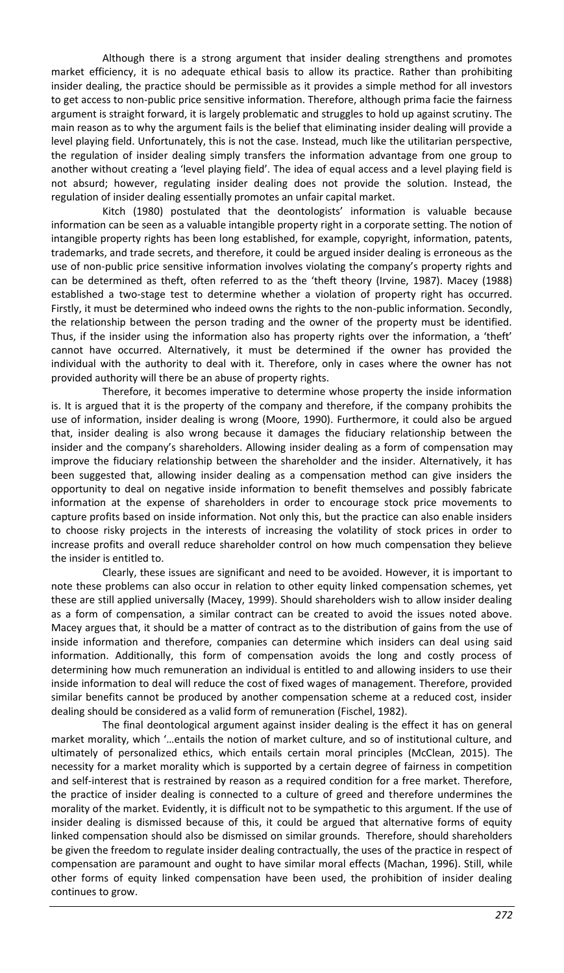Although there is a strong argument that insider dealing strengthens and promotes market efficiency, it is no adequate ethical basis to allow its practice. Rather than prohibiting insider dealing, the practice should be permissible as it provides a simple method for all investors to get access to non-public price sensitive information. Therefore, although prima facie the fairness argument is straight forward, it is largely problematic and struggles to hold up against scrutiny. The main reason as to why the argument fails is the belief that eliminating insider dealing will provide a level playing field. Unfortunately, this is not the case. Instead, much like the utilitarian perspective, the regulation of insider dealing simply transfers the information advantage from one group to another without creating a 'level playing field'. The idea of equal access and a level playing field is not absurd; however, regulating insider dealing does not provide the solution. Instead, the regulation of insider dealing essentially promotes an unfair capital market.

Kitch (1980) postulated that the deontologists' information is valuable because information can be seen as a valuable intangible property right in a corporate setting. The notion of intangible property rights has been long established, for example, copyright, information, patents, trademarks, and trade secrets, and therefore, it could be argued insider dealing is erroneous as the use of non-public price sensitive information involves violating the company's property rights and can be determined as theft, often referred to as the 'theft theory (Irvine, 1987). Macey (1988) established a two-stage test to determine whether a violation of property right has occurred. Firstly, it must be determined who indeed owns the rights to the non-public information. Secondly, the relationship between the person trading and the owner of the property must be identified. Thus, if the insider using the information also has property rights over the information, a 'theft' cannot have occurred. Alternatively, it must be determined if the owner has provided the individual with the authority to deal with it. Therefore, only in cases where the owner has not provided authority will there be an abuse of property rights.

Therefore, it becomes imperative to determine whose property the inside information is. It is argued that it is the property of the company and therefore, if the company prohibits the use of information, insider dealing is wrong (Moore, 1990). Furthermore, it could also be argued that, insider dealing is also wrong because it damages the fiduciary relationship between the insider and the company's shareholders. Allowing insider dealing as a form of compensation may improve the fiduciary relationship between the shareholder and the insider. Alternatively, it has been suggested that, allowing insider dealing as a compensation method can give insiders the opportunity to deal on negative inside information to benefit themselves and possibly fabricate information at the expense of shareholders in order to encourage stock price movements to capture profits based on inside information. Not only this, but the practice can also enable insiders to choose risky projects in the interests of increasing the volatility of stock prices in order to increase profits and overall reduce shareholder control on how much compensation they believe the insider is entitled to.

Clearly, these issues are significant and need to be avoided. However, it is important to note these problems can also occur in relation to other equity linked compensation schemes, yet these are still applied universally (Macey, 1999). Should shareholders wish to allow insider dealing as a form of compensation, a similar contract can be created to avoid the issues noted above. Macey argues that, it should be a matter of contract as to the distribution of gains from the use of inside information and therefore, companies can determine which insiders can deal using said information. Additionally, this form of compensation avoids the long and costly process of determining how much remuneration an individual is entitled to and allowing insiders to use their inside information to deal will reduce the cost of fixed wages of management. Therefore, provided similar benefits cannot be produced by another compensation scheme at a reduced cost, insider dealing should be considered as a valid form of remuneration (Fischel, 1982).

The final deontological argument against insider dealing is the effect it has on general market morality, which '…entails the notion of market culture, and so of institutional culture, and ultimately of personalized ethics, which entails certain moral principles (McClean, 2015). The necessity for a market morality which is supported by a certain degree of fairness in competition and self-interest that is restrained by reason as a required condition for a free market. Therefore, the practice of insider dealing is connected to a culture of greed and therefore undermines the morality of the market. Evidently, it is difficult not to be sympathetic to this argument. If the use of insider dealing is dismissed because of this, it could be argued that alternative forms of equity linked compensation should also be dismissed on similar grounds. Therefore, should shareholders be given the freedom to regulate insider dealing contractually, the uses of the practice in respect of compensation are paramount and ought to have similar moral effects (Machan, 1996). Still, while other forms of equity linked compensation have been used, the prohibition of insider dealing continues to grow.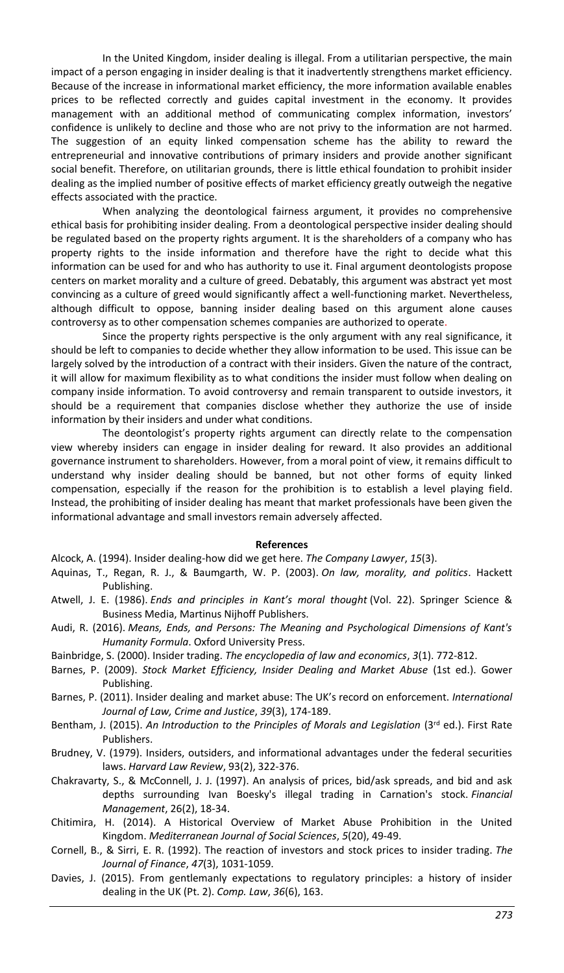In the United Kingdom, insider dealing is illegal. From a utilitarian perspective, the main impact of a person engaging in insider dealing is that it inadvertently strengthens market efficiency. Because of the increase in informational market efficiency, the more information available enables prices to be reflected correctly and guides capital investment in the economy. It provides management with an additional method of communicating complex information, investors' confidence is unlikely to decline and those who are not privy to the information are not harmed. The suggestion of an equity linked compensation scheme has the ability to reward the entrepreneurial and innovative contributions of primary insiders and provide another significant social benefit. Therefore, on utilitarian grounds, there is little ethical foundation to prohibit insider dealing as the implied number of positive effects of market efficiency greatly outweigh the negative effects associated with the practice.

When analyzing the deontological fairness argument, it provides no comprehensive ethical basis for prohibiting insider dealing. From a deontological perspective insider dealing should be regulated based on the property rights argument. It is the shareholders of a company who has property rights to the inside information and therefore have the right to decide what this information can be used for and who has authority to use it. Final argument deontologists propose centers on market morality and a culture of greed. Debatably, this argument was abstract yet most convincing as a culture of greed would significantly affect a well-functioning market. Nevertheless, although difficult to oppose, banning insider dealing based on this argument alone causes controversy as to other compensation schemes companies are authorized to operate.

Since the property rights perspective is the only argument with any real significance, it should be left to companies to decide whether they allow information to be used. This issue can be largely solved by the introduction of a contract with their insiders. Given the nature of the contract, it will allow for maximum flexibility as to what conditions the insider must follow when dealing on company inside information. To avoid controversy and remain transparent to outside investors, it should be a requirement that companies disclose whether they authorize the use of inside information by their insiders and under what conditions.

The deontologist's property rights argument can directly relate to the compensation view whereby insiders can engage in insider dealing for reward. It also provides an additional governance instrument to shareholders. However, from a moral point of view, it remains difficult to understand why insider dealing should be banned, but not other forms of equity linked compensation, especially if the reason for the prohibition is to establish a level playing field. Instead, the prohibiting of insider dealing has meant that market professionals have been given the informational advantage and small investors remain adversely affected.

## **References**

Alcock, A. (1994). Insider dealing-how did we get here. *The Company Lawyer*, *15*(3).

- Aquinas, T., Regan, R. J., & Baumgarth, W. P. (2003). *On law, morality, and politics*. Hackett Publishing.
- Atwell, J. E. (1986). *Ends and principles in Kant's moral thought* (Vol. 22). Springer Science & Business Media, Martinus Nijhoff Publishers.
- Audi, R. (2016). *Means, Ends, and Persons: The Meaning and Psychological Dimensions of Kant's Humanity Formula*. Oxford University Press.
- Bainbridge, S. (2000). Insider trading. *The encyclopedia of law and economics*, *3*(1). 772-812.
- Barnes, P. (2009). *Stock Market Efficiency, Insider Dealing and Market Abuse* (1st ed.). Gower Publishing.
- Barnes, P. (2011). Insider dealing and market abuse: The UK's record on enforcement. *International Journal of Law, Crime and Justice*, *39*(3), 174-189.
- Bentham, J. (2015). An Introduction to the Principles of Morals and Legislation (3<sup>rd</sup> ed.). First Rate Publishers.
- Brudney, V. (1979). Insiders, outsiders, and informational advantages under the federal securities laws. *Harvard Law Review*, 93(2), 322-376.
- Chakravarty, S., & McConnell, J. J. (1997). An analysis of prices, bid/ask spreads, and bid and ask depths surrounding Ivan Boesky's illegal trading in Carnation's stock. *Financial Management*, 26(2), 18-34.
- Chitimira, H. (2014). A Historical Overview of Market Abuse Prohibition in the United Kingdom. *Mediterranean Journal of Social Sciences*, *5*(20), 49-49.
- Cornell, B., & Sirri, E. R. (1992). The reaction of investors and stock prices to insider trading. *The Journal of Finance*, *47*(3), 1031-1059.
- Davies, J. (2015). From gentlemanly expectations to regulatory principles: a history of insider dealing in the UK (Pt. 2). *Comp. Law*, *36*(6), 163.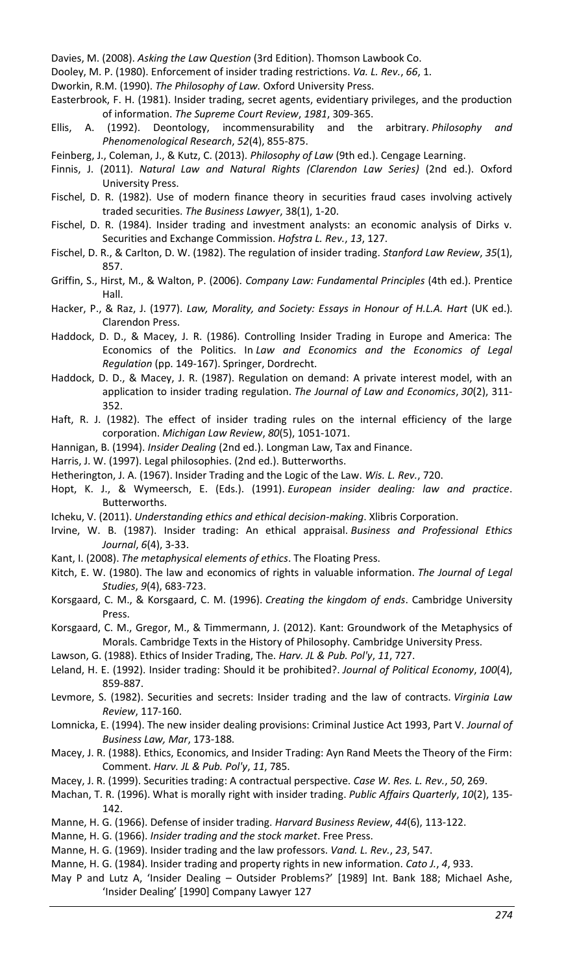Davies, M. (2008). *Asking the Law Question* (3rd Edition). Thomson Lawbook Co.

Dooley, M. P. (1980). Enforcement of insider trading restrictions. *Va. L. Rev.*, *66*, 1.

Dworkin, R.M. (1990). *The Philosophy of Law.* Oxford University Press.

Easterbrook, F. H. (1981). Insider trading, secret agents, evidentiary privileges, and the production of information. *The Supreme Court Review*, *1981*, 309-365.

- Ellis, A. (1992). Deontology, incommensurability and the arbitrary. *Philosophy and Phenomenological Research*, *52*(4), 855-875.
- Feinberg, J., Coleman, J., & Kutz, C. (2013). *Philosophy of Law* (9th ed.). Cengage Learning.
- Finnis, J. (2011). *Natural Law and Natural Rights (Clarendon Law Series)* (2nd ed.). Oxford University Press.
- Fischel, D. R. (1982). Use of modern finance theory in securities fraud cases involving actively traded securities. *The Business Lawyer*, 38(1), 1-20.
- Fischel, D. R. (1984). Insider trading and investment analysts: an economic analysis of Dirks v. Securities and Exchange Commission. *Hofstra L. Rev.*, *13*, 127.
- Fischel, D. R., & Carlton, D. W. (1982). The regulation of insider trading. *Stanford Law Review*, *35*(1), 857.
- Griffin, S., Hirst, M., & Walton, P. (2006). *Company Law: Fundamental Principles* (4th ed.). Prentice Hall.
- Hacker, P., & Raz, J. (1977). *Law, Morality, and Society: Essays in Honour of H.L.A. Hart* (UK ed.). Clarendon Press.
- Haddock, D. D., & Macey, J. R. (1986). Controlling Insider Trading in Europe and America: The Economics of the Politics. In *Law and Economics and the Economics of Legal Regulation* (pp. 149-167). Springer, Dordrecht.
- Haddock, D. D., & Macey, J. R. (1987). Regulation on demand: A private interest model, with an application to insider trading regulation. *The Journal of Law and Economics*, *30*(2), 311- 352.
- Haft, R. J. (1982). The effect of insider trading rules on the internal efficiency of the large corporation. *Michigan Law Review*, *80*(5), 1051-1071.
- Hannigan, B. (1994). *Insider Dealing* (2nd ed.). Longman Law, Tax and Finance.
- Harris, J. W. (1997). Legal philosophies. (2nd ed.). Butterworths.
- Hetherington, J. A. (1967). Insider Trading and the Logic of the Law. *Wis. L. Rev.*, 720.
- Hopt, K. J., & Wymeersch, E. (Eds.). (1991). *European insider dealing: law and practice*. Butterworths.
- Icheku, V. (2011). *Understanding ethics and ethical decision-making*. Xlibris Corporation.
- Irvine, W. B. (1987). Insider trading: An ethical appraisal. *Business and Professional Ethics Journal*, *6*(4), 3-33.
- Kant, I. (2008). *The metaphysical elements of ethics*. The Floating Press.
- Kitch, E. W. (1980). The law and economics of rights in valuable information. *The Journal of Legal Studies*, *9*(4), 683-723.
- Korsgaard, C. M., & Korsgaard, C. M. (1996). *Creating the kingdom of ends*. Cambridge University Press.
- Korsgaard, C. M., Gregor, M., & Timmermann, J. (2012). Kant: Groundwork of the Metaphysics of Morals. Cambridge Texts in the History of Philosophy. Cambridge University Press.

Lawson, G. (1988). Ethics of Insider Trading, The. *Harv. JL & Pub. Pol'y*, *11*, 727.

- Leland, H. E. (1992). Insider trading: Should it be prohibited?. *Journal of Political Economy*, *100*(4), 859-887.
- Levmore, S. (1982). Securities and secrets: Insider trading and the law of contracts. *Virginia Law Review*, 117-160.
- Lomnicka, E. (1994). The new insider dealing provisions: Criminal Justice Act 1993, Part V. *Journal of Business Law, Mar*, 173-188.
- Macey, J. R. (1988). Ethics, Economics, and Insider Trading: Ayn Rand Meets the Theory of the Firm: Comment. *Harv. JL & Pub. Pol'y*, *11*, 785.
- Macey, J. R. (1999). Securities trading: A contractual perspective. *Case W. Res. L. Rev.*, *50*, 269.
- Machan, T. R. (1996). What is morally right with insider trading. *Public Affairs Quarterly*, *10*(2), 135- 142.
- Manne, H. G. (1966). Defense of insider trading. *Harvard Business Review*, *44*(6), 113-122.
- Manne, H. G. (1966). *Insider trading and the stock market*. Free Press.
- Manne, H. G. (1969). Insider trading and the law professors. *Vand. L. Rev.*, *23*, 547.
- Manne, H. G. (1984). Insider trading and property rights in new information. *Cato J.*, *4*, 933.
- May P and Lutz A, 'Insider Dealing Outsider Problems?' [1989] Int. Bank 188; Michael Ashe, 'Insider Dealing' [1990] Company Lawyer 127